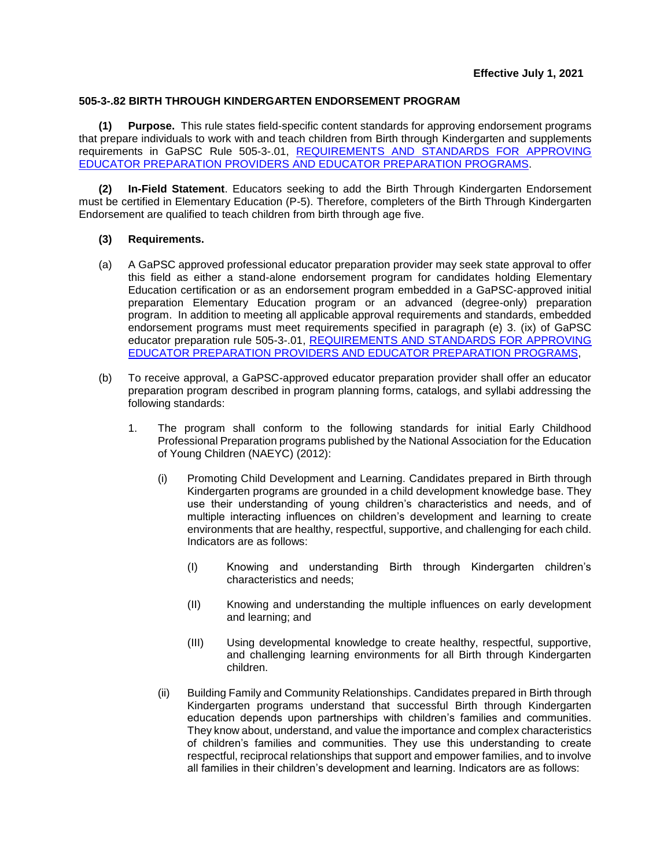## **505-3-.82 BIRTH THROUGH KINDERGARTEN ENDORSEMENT PROGRAM**

**(1) Purpose.** This rule states field-specific content standards for approving endorsement programs that prepare individuals to work with and teach children from Birth through Kindergarten and supplements requirements in GaPSC Rule 505-3-.01, [REQUIREMENTS AND STANDARDS FOR APPROVING](https://www.gapsc.com/Rules/Current/EducatorPreparation/505-3-.01.pdf?dt=%3C%25#Eval()  EDUCATOR PREPARATION PROVIDERS [AND EDUCATOR PREPARATION PROGRAMS.](https://www.gapsc.com/Rules/Current/EducatorPreparation/505-3-.01.pdf?dt=%3C%25#Eval()

**(2) In-Field Statement**. Educators seeking to add the Birth Through Kindergarten Endorsement must be certified in Elementary Education (P-5). Therefore, completers of the Birth Through Kindergarten Endorsement are qualified to teach children from birth through age five.

## **(3) Requirements.**

- (a) A GaPSC approved professional educator preparation provider may seek state approval to offer this field as either a stand-alone endorsement program for candidates holding Elementary Education certification or as an endorsement program embedded in a GaPSC-approved initial preparation Elementary Education program or an advanced (degree-only) preparation program. In addition to meeting all applicable approval requirements and standards, embedded endorsement programs must meet requirements specified in paragraph (e) 3. (ix) of GaPSC educator preparation rule 505-3-.01, [REQUIREMENTS AND STANDARDS FOR APPROVING](https://www.gapsc.com/Rules/Current/EducatorPreparation/505-3-.01.pdf?dt=%3C%25#Eval()  [EDUCATOR PREPARATION PROVIDERS AND EDUCATOR PREPARATION PROGRAMS,](https://www.gapsc.com/Rules/Current/EducatorPreparation/505-3-.01.pdf?dt=%3C%25#Eval()
- (b) To receive approval, a GaPSC-approved educator preparation provider shall offer an educator preparation program described in program planning forms, catalogs, and syllabi addressing the following standards:
	- 1. The program shall conform to the following standards for initial Early Childhood Professional Preparation programs published by the National Association for the Education of Young Children (NAEYC) (2012):
		- (i) Promoting Child Development and Learning. Candidates prepared in Birth through Kindergarten programs are grounded in a child development knowledge base. They use their understanding of young children's characteristics and needs, and of multiple interacting influences on children's development and learning to create environments that are healthy, respectful, supportive, and challenging for each child. Indicators are as follows:
			- (I) Knowing and understanding Birth through Kindergarten children's characteristics and needs;
			- (II) Knowing and understanding the multiple influences on early development and learning; and
			- (III) Using developmental knowledge to create healthy, respectful, supportive, and challenging learning environments for all Birth through Kindergarten children.
		- (ii) Building Family and Community Relationships. Candidates prepared in Birth through Kindergarten programs understand that successful Birth through Kindergarten education depends upon partnerships with children's families and communities. They know about, understand, and value the importance and complex characteristics of children's families and communities. They use this understanding to create respectful, reciprocal relationships that support and empower families, and to involve all families in their children's development and learning. Indicators are as follows: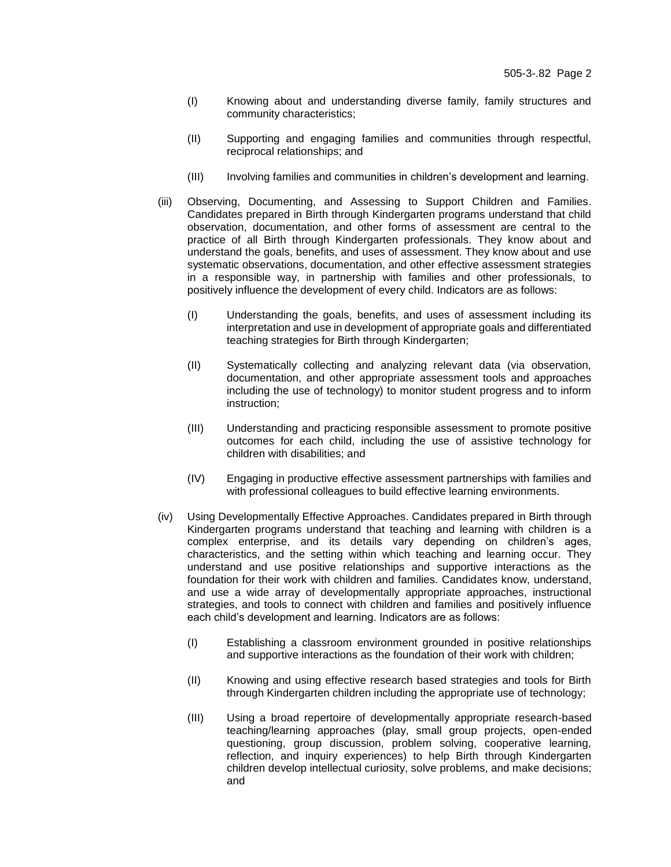- (I) Knowing about and understanding diverse family, family structures and community characteristics;
- (II) Supporting and engaging families and communities through respectful, reciprocal relationships; and
- (III) Involving families and communities in children's development and learning.
- (iii) Observing, Documenting, and Assessing to Support Children and Families. Candidates prepared in Birth through Kindergarten programs understand that child observation, documentation, and other forms of assessment are central to the practice of all Birth through Kindergarten professionals. They know about and understand the goals, benefits, and uses of assessment. They know about and use systematic observations, documentation, and other effective assessment strategies in a responsible way, in partnership with families and other professionals, to positively influence the development of every child. Indicators are as follows:
	- (I) Understanding the goals, benefits, and uses of assessment including its interpretation and use in development of appropriate goals and differentiated teaching strategies for Birth through Kindergarten;
	- (II) Systematically collecting and analyzing relevant data (via observation, documentation, and other appropriate assessment tools and approaches including the use of technology) to monitor student progress and to inform instruction;
	- (III) Understanding and practicing responsible assessment to promote positive outcomes for each child, including the use of assistive technology for children with disabilities; and
	- (IV) Engaging in productive effective assessment partnerships with families and with professional colleagues to build effective learning environments.
- (iv) Using Developmentally Effective Approaches. Candidates prepared in Birth through Kindergarten programs understand that teaching and learning with children is a complex enterprise, and its details vary depending on children's ages, characteristics, and the setting within which teaching and learning occur. They understand and use positive relationships and supportive interactions as the foundation for their work with children and families. Candidates know, understand, and use a wide array of developmentally appropriate approaches, instructional strategies, and tools to connect with children and families and positively influence each child's development and learning. Indicators are as follows:
	- (I) Establishing a classroom environment grounded in positive relationships and supportive interactions as the foundation of their work with children;
	- (II) Knowing and using effective research based strategies and tools for Birth through Kindergarten children including the appropriate use of technology;
	- (III) Using a broad repertoire of developmentally appropriate research-based teaching/learning approaches (play, small group projects, open-ended questioning, group discussion, problem solving, cooperative learning, reflection, and inquiry experiences) to help Birth through Kindergarten children develop intellectual curiosity, solve problems, and make decisions; and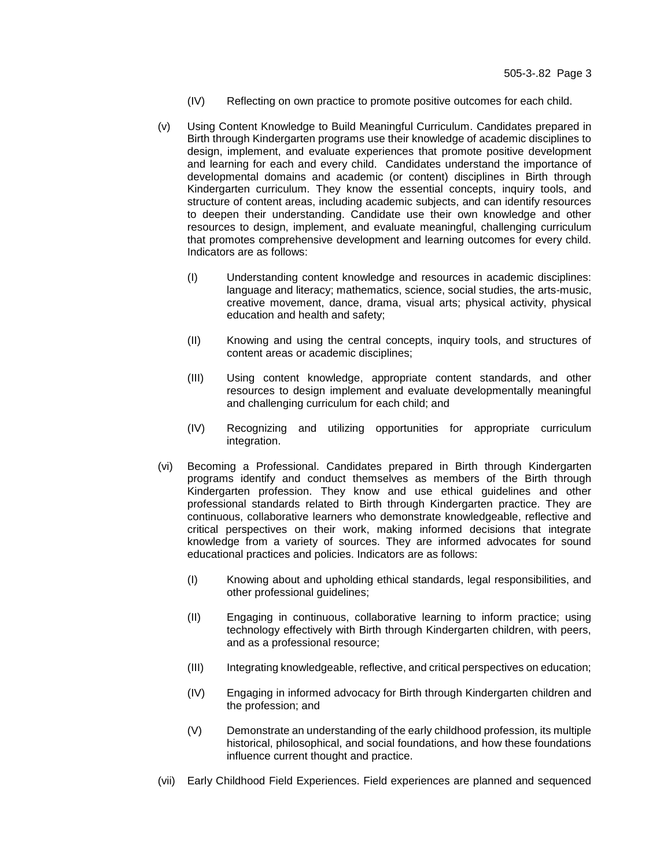- (IV) Reflecting on own practice to promote positive outcomes for each child.
- (v) Using Content Knowledge to Build Meaningful Curriculum. Candidates prepared in Birth through Kindergarten programs use their knowledge of academic disciplines to design, implement, and evaluate experiences that promote positive development and learning for each and every child. Candidates understand the importance of developmental domains and academic (or content) disciplines in Birth through Kindergarten curriculum. They know the essential concepts, inquiry tools, and structure of content areas, including academic subjects, and can identify resources to deepen their understanding. Candidate use their own knowledge and other resources to design, implement, and evaluate meaningful, challenging curriculum that promotes comprehensive development and learning outcomes for every child. Indicators are as follows:
	- (I) Understanding content knowledge and resources in academic disciplines: language and literacy; mathematics, science, social studies, the arts-music, creative movement, dance, drama, visual arts; physical activity, physical education and health and safety;
	- (II) Knowing and using the central concepts, inquiry tools, and structures of content areas or academic disciplines;
	- (III) Using content knowledge, appropriate content standards, and other resources to design implement and evaluate developmentally meaningful and challenging curriculum for each child; and
	- (IV) Recognizing and utilizing opportunities for appropriate curriculum integration.
- (vi) Becoming a Professional. Candidates prepared in Birth through Kindergarten programs identify and conduct themselves as members of the Birth through Kindergarten profession. They know and use ethical guidelines and other professional standards related to Birth through Kindergarten practice. They are continuous, collaborative learners who demonstrate knowledgeable, reflective and critical perspectives on their work, making informed decisions that integrate knowledge from a variety of sources. They are informed advocates for sound educational practices and policies. Indicators are as follows:
	- (I) Knowing about and upholding ethical standards, legal responsibilities, and other professional quidelines:
	- (II) Engaging in continuous, collaborative learning to inform practice; using technology effectively with Birth through Kindergarten children, with peers, and as a professional resource;
	- (III) Integrating knowledgeable, reflective, and critical perspectives on education;
	- (IV) Engaging in informed advocacy for Birth through Kindergarten children and the profession; and
	- (V) Demonstrate an understanding of the early childhood profession, its multiple historical, philosophical, and social foundations, and how these foundations influence current thought and practice.
- (vii) Early Childhood Field Experiences. Field experiences are planned and sequenced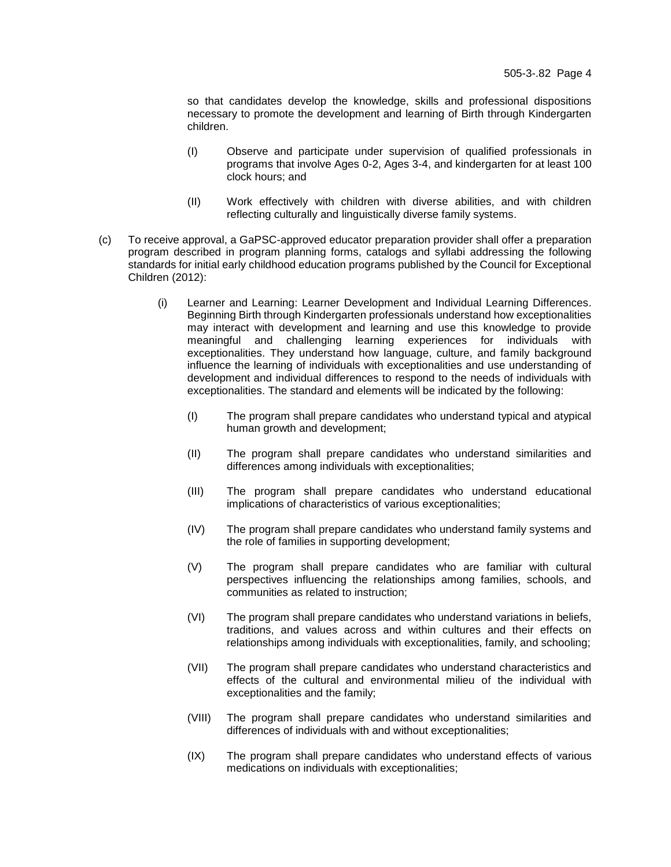so that candidates develop the knowledge, skills and professional dispositions necessary to promote the development and learning of Birth through Kindergarten children.

- (I) Observe and participate under supervision of qualified professionals in programs that involve Ages 0-2, Ages 3-4, and kindergarten for at least 100 clock hours; and
- (II) Work effectively with children with diverse abilities, and with children reflecting culturally and linguistically diverse family systems.
- (c) To receive approval, a GaPSC-approved educator preparation provider shall offer a preparation program described in program planning forms, catalogs and syllabi addressing the following standards for initial early childhood education programs published by the Council for Exceptional Children (2012):
	- (i) Learner and Learning: Learner Development and Individual Learning Differences. Beginning Birth through Kindergarten professionals understand how exceptionalities may interact with development and learning and use this knowledge to provide meaningful and challenging learning experiences for individuals with exceptionalities. They understand how language, culture, and family background influence the learning of individuals with exceptionalities and use understanding of development and individual differences to respond to the needs of individuals with exceptionalities. The standard and elements will be indicated by the following:
		- (I) The program shall prepare candidates who understand typical and atypical human growth and development;
		- (II) The program shall prepare candidates who understand similarities and differences among individuals with exceptionalities;
		- (III) The program shall prepare candidates who understand educational implications of characteristics of various exceptionalities;
		- (IV) The program shall prepare candidates who understand family systems and the role of families in supporting development;
		- (V) The program shall prepare candidates who are familiar with cultural perspectives influencing the relationships among families, schools, and communities as related to instruction;
		- (VI) The program shall prepare candidates who understand variations in beliefs, traditions, and values across and within cultures and their effects on relationships among individuals with exceptionalities, family, and schooling;
		- (VII) The program shall prepare candidates who understand characteristics and effects of the cultural and environmental milieu of the individual with exceptionalities and the family;
		- (VIII) The program shall prepare candidates who understand similarities and differences of individuals with and without exceptionalities;
		- (IX) The program shall prepare candidates who understand effects of various medications on individuals with exceptionalities;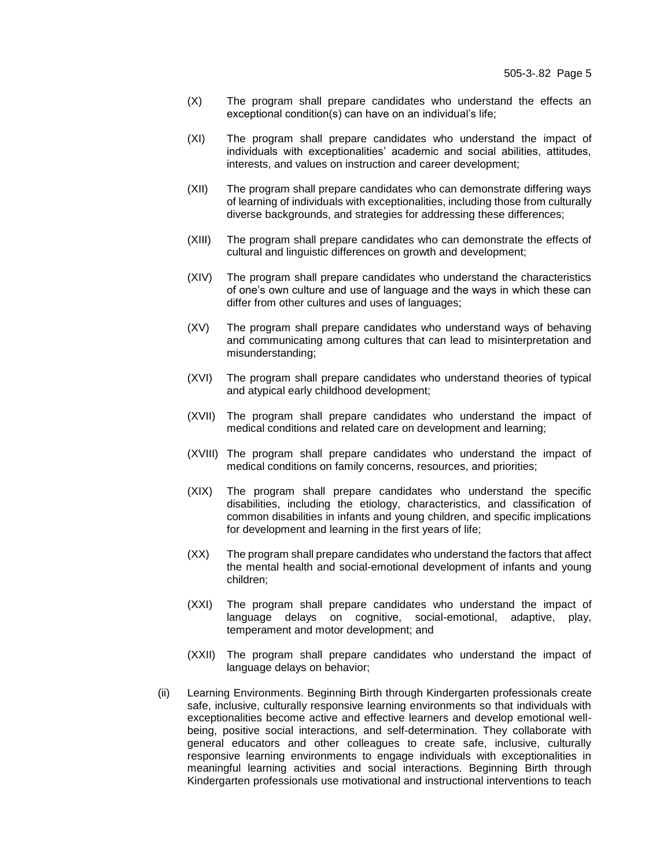- (X) The program shall prepare candidates who understand the effects an exceptional condition(s) can have on an individual's life;
- (XI) The program shall prepare candidates who understand the impact of individuals with exceptionalities' academic and social abilities, attitudes, interests, and values on instruction and career development;
- (XII) The program shall prepare candidates who can demonstrate differing ways of learning of individuals with exceptionalities, including those from culturally diverse backgrounds, and strategies for addressing these differences;
- (XIII) The program shall prepare candidates who can demonstrate the effects of cultural and linguistic differences on growth and development;
- (XIV) The program shall prepare candidates who understand the characteristics of one's own culture and use of language and the ways in which these can differ from other cultures and uses of languages;
- (XV) The program shall prepare candidates who understand ways of behaving and communicating among cultures that can lead to misinterpretation and misunderstanding;
- (XVI) The program shall prepare candidates who understand theories of typical and atypical early childhood development;
- (XVII) The program shall prepare candidates who understand the impact of medical conditions and related care on development and learning;
- (XVIII) The program shall prepare candidates who understand the impact of medical conditions on family concerns, resources, and priorities;
- (XIX) The program shall prepare candidates who understand the specific disabilities, including the etiology, characteristics, and classification of common disabilities in infants and young children, and specific implications for development and learning in the first years of life;
- (XX) The program shall prepare candidates who understand the factors that affect the mental health and social-emotional development of infants and young children;
- (XXI) The program shall prepare candidates who understand the impact of language delays on cognitive, social-emotional, adaptive, play, temperament and motor development; and
- (XXII) The program shall prepare candidates who understand the impact of language delays on behavior;
- (ii) Learning Environments. Beginning Birth through Kindergarten professionals create safe, inclusive, culturally responsive learning environments so that individuals with exceptionalities become active and effective learners and develop emotional wellbeing, positive social interactions, and self-determination. They collaborate with general educators and other colleagues to create safe, inclusive, culturally responsive learning environments to engage individuals with exceptionalities in meaningful learning activities and social interactions. Beginning Birth through Kindergarten professionals use motivational and instructional interventions to teach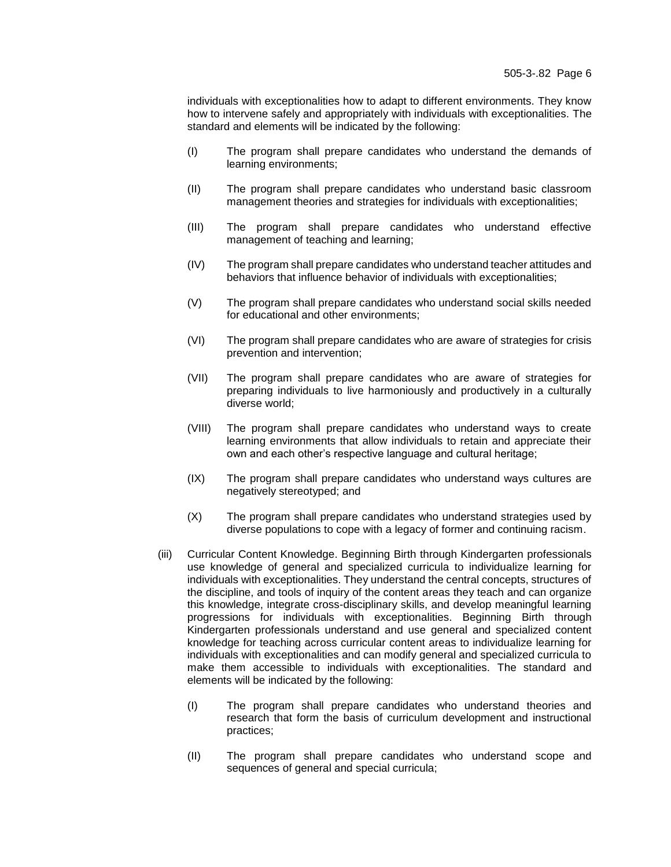individuals with exceptionalities how to adapt to different environments. They know how to intervene safely and appropriately with individuals with exceptionalities. The standard and elements will be indicated by the following:

- (I) The program shall prepare candidates who understand the demands of learning environments;
- (II) The program shall prepare candidates who understand basic classroom management theories and strategies for individuals with exceptionalities;
- (III) The program shall prepare candidates who understand effective management of teaching and learning;
- (IV) The program shall prepare candidates who understand teacher attitudes and behaviors that influence behavior of individuals with exceptionalities;
- (V) The program shall prepare candidates who understand social skills needed for educational and other environments;
- (VI) The program shall prepare candidates who are aware of strategies for crisis prevention and intervention;
- (VII) The program shall prepare candidates who are aware of strategies for preparing individuals to live harmoniously and productively in a culturally diverse world;
- (VIII) The program shall prepare candidates who understand ways to create learning environments that allow individuals to retain and appreciate their own and each other's respective language and cultural heritage;
- (IX) The program shall prepare candidates who understand ways cultures are negatively stereotyped; and
- (X) The program shall prepare candidates who understand strategies used by diverse populations to cope with a legacy of former and continuing racism.
- (iii) Curricular Content Knowledge. Beginning Birth through Kindergarten professionals use knowledge of general and specialized curricula to individualize learning for individuals with exceptionalities. They understand the central concepts, structures of the discipline, and tools of inquiry of the content areas they teach and can organize this knowledge, integrate cross-disciplinary skills, and develop meaningful learning progressions for individuals with exceptionalities. Beginning Birth through Kindergarten professionals understand and use general and specialized content knowledge for teaching across curricular content areas to individualize learning for individuals with exceptionalities and can modify general and specialized curricula to make them accessible to individuals with exceptionalities. The standard and elements will be indicated by the following:
	- (I) The program shall prepare candidates who understand theories and research that form the basis of curriculum development and instructional practices;
	- (II) The program shall prepare candidates who understand scope and sequences of general and special curricula;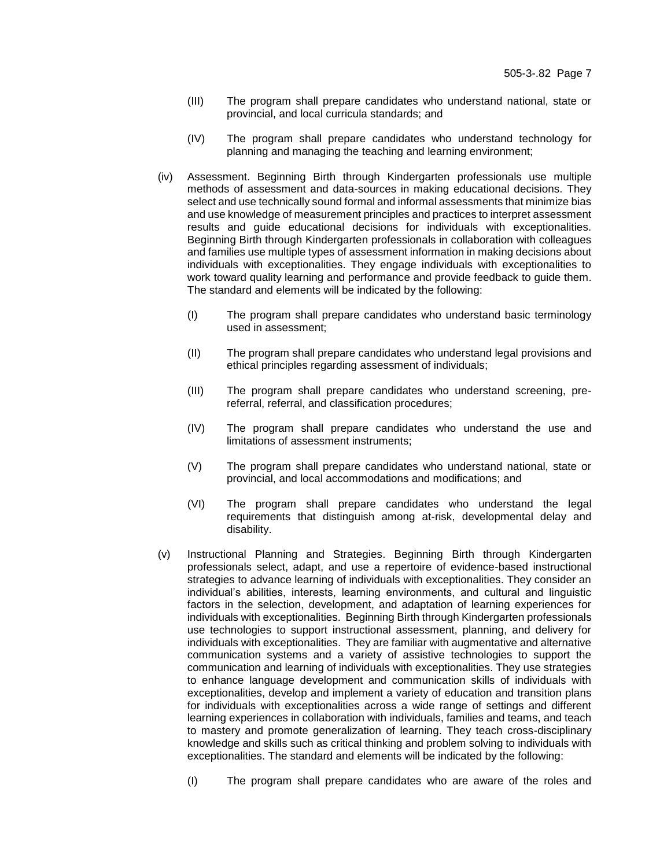- (III) The program shall prepare candidates who understand national, state or provincial, and local curricula standards; and
- (IV) The program shall prepare candidates who understand technology for planning and managing the teaching and learning environment;
- (iv) Assessment. Beginning Birth through Kindergarten professionals use multiple methods of assessment and data-sources in making educational decisions. They select and use technically sound formal and informal assessments that minimize bias and use knowledge of measurement principles and practices to interpret assessment results and guide educational decisions for individuals with exceptionalities. Beginning Birth through Kindergarten professionals in collaboration with colleagues and families use multiple types of assessment information in making decisions about individuals with exceptionalities. They engage individuals with exceptionalities to work toward quality learning and performance and provide feedback to guide them. The standard and elements will be indicated by the following:
	- (I) The program shall prepare candidates who understand basic terminology used in assessment;
	- (II) The program shall prepare candidates who understand legal provisions and ethical principles regarding assessment of individuals;
	- (III) The program shall prepare candidates who understand screening, prereferral, referral, and classification procedures;
	- (IV) The program shall prepare candidates who understand the use and limitations of assessment instruments;
	- (V) The program shall prepare candidates who understand national, state or provincial, and local accommodations and modifications; and
	- (VI) The program shall prepare candidates who understand the legal requirements that distinguish among at-risk, developmental delay and disability.
- (v) Instructional Planning and Strategies. Beginning Birth through Kindergarten professionals select, adapt, and use a repertoire of evidence-based instructional strategies to advance learning of individuals with exceptionalities. They consider an individual's abilities, interests, learning environments, and cultural and linguistic factors in the selection, development, and adaptation of learning experiences for individuals with exceptionalities. Beginning Birth through Kindergarten professionals use technologies to support instructional assessment, planning, and delivery for individuals with exceptionalities. They are familiar with augmentative and alternative communication systems and a variety of assistive technologies to support the communication and learning of individuals with exceptionalities. They use strategies to enhance language development and communication skills of individuals with exceptionalities, develop and implement a variety of education and transition plans for individuals with exceptionalities across a wide range of settings and different learning experiences in collaboration with individuals, families and teams, and teach to mastery and promote generalization of learning. They teach cross-disciplinary knowledge and skills such as critical thinking and problem solving to individuals with exceptionalities. The standard and elements will be indicated by the following:
	- (I) The program shall prepare candidates who are aware of the roles and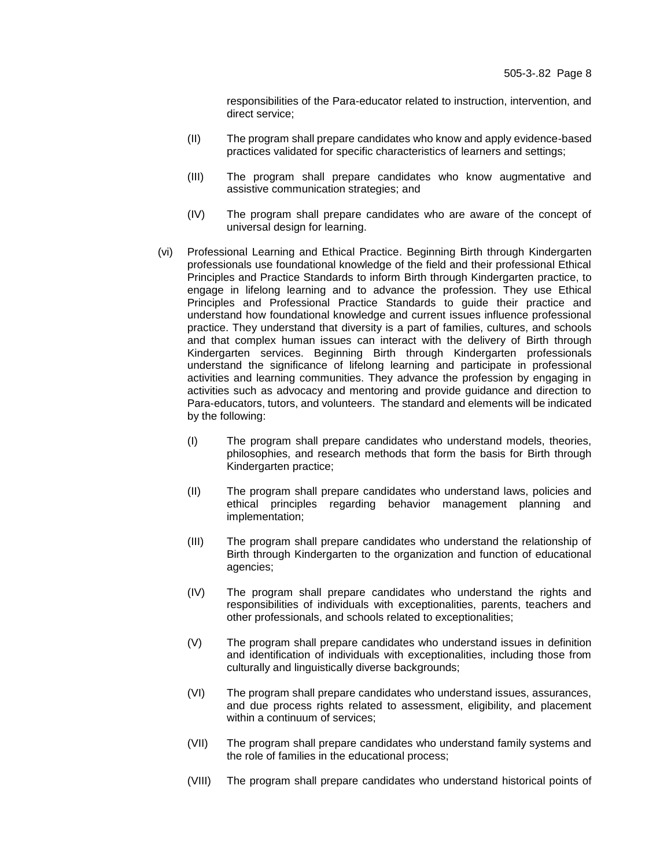responsibilities of the Para-educator related to instruction, intervention, and direct service;

- (II) The program shall prepare candidates who know and apply evidence-based practices validated for specific characteristics of learners and settings;
- (III) The program shall prepare candidates who know augmentative and assistive communication strategies; and
- (IV) The program shall prepare candidates who are aware of the concept of universal design for learning.
- (vi) Professional Learning and Ethical Practice. Beginning Birth through Kindergarten professionals use foundational knowledge of the field and their professional Ethical Principles and Practice Standards to inform Birth through Kindergarten practice, to engage in lifelong learning and to advance the profession. They use Ethical Principles and Professional Practice Standards to guide their practice and understand how foundational knowledge and current issues influence professional practice. They understand that diversity is a part of families, cultures, and schools and that complex human issues can interact with the delivery of Birth through Kindergarten services. Beginning Birth through Kindergarten professionals understand the significance of lifelong learning and participate in professional activities and learning communities. They advance the profession by engaging in activities such as advocacy and mentoring and provide guidance and direction to Para-educators, tutors, and volunteers. The standard and elements will be indicated by the following:
	- (I) The program shall prepare candidates who understand models, theories, philosophies, and research methods that form the basis for Birth through Kindergarten practice;
	- (II) The program shall prepare candidates who understand laws, policies and ethical principles regarding behavior management planning and implementation;
	- (III) The program shall prepare candidates who understand the relationship of Birth through Kindergarten to the organization and function of educational agencies;
	- (IV) The program shall prepare candidates who understand the rights and responsibilities of individuals with exceptionalities, parents, teachers and other professionals, and schools related to exceptionalities;
	- (V) The program shall prepare candidates who understand issues in definition and identification of individuals with exceptionalities, including those from culturally and linguistically diverse backgrounds;
	- (VI) The program shall prepare candidates who understand issues, assurances, and due process rights related to assessment, eligibility, and placement within a continuum of services;
	- (VII) The program shall prepare candidates who understand family systems and the role of families in the educational process;
	- (VIII) The program shall prepare candidates who understand historical points of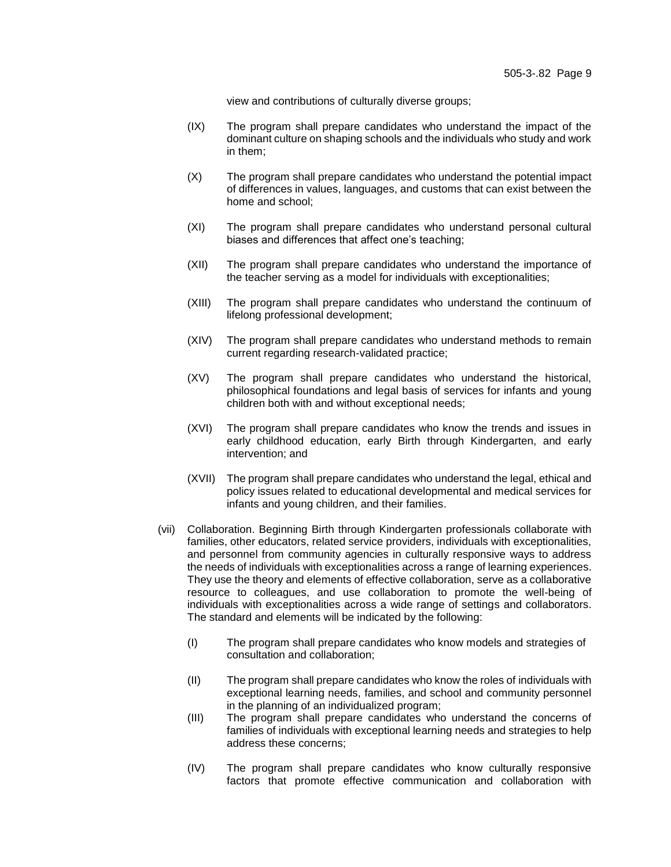view and contributions of culturally diverse groups;

- (IX) The program shall prepare candidates who understand the impact of the dominant culture on shaping schools and the individuals who study and work in them;
- (X) The program shall prepare candidates who understand the potential impact of differences in values, languages, and customs that can exist between the home and school;
- (XI) The program shall prepare candidates who understand personal cultural biases and differences that affect one's teaching;
- (XII) The program shall prepare candidates who understand the importance of the teacher serving as a model for individuals with exceptionalities;
- (XIII) The program shall prepare candidates who understand the continuum of lifelong professional development;
- (XIV) The program shall prepare candidates who understand methods to remain current regarding research-validated practice;
- (XV) The program shall prepare candidates who understand the historical, philosophical foundations and legal basis of services for infants and young children both with and without exceptional needs;
- (XVI) The program shall prepare candidates who know the trends and issues in early childhood education, early Birth through Kindergarten, and early intervention; and
- (XVII) The program shall prepare candidates who understand the legal, ethical and policy issues related to educational developmental and medical services for infants and young children, and their families.
- (vii) Collaboration. Beginning Birth through Kindergarten professionals collaborate with families, other educators, related service providers, individuals with exceptionalities, and personnel from community agencies in culturally responsive ways to address the needs of individuals with exceptionalities across a range of learning experiences. They use the theory and elements of effective collaboration, serve as a collaborative resource to colleagues, and use collaboration to promote the well-being of individuals with exceptionalities across a wide range of settings and collaborators. The standard and elements will be indicated by the following:
	- (I) The program shall prepare candidates who know models and strategies of consultation and collaboration;
	- (II) The program shall prepare candidates who know the roles of individuals with exceptional learning needs, families, and school and community personnel in the planning of an individualized program;
	- (III) The program shall prepare candidates who understand the concerns of families of individuals with exceptional learning needs and strategies to help address these concerns;
	- (IV) The program shall prepare candidates who know culturally responsive factors that promote effective communication and collaboration with